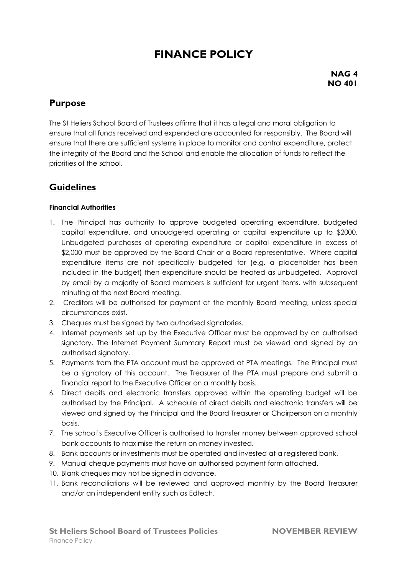# **FINANCE POLICY**

**NAG 4 NO 401**

# **Purpose**

The St Heliers School Board of Trustees affirms that it has a legal and moral obligation to ensure that all funds received and expended are accounted for responsibly. The Board will ensure that there are sufficient systems in place to monitor and control expenditure, protect the integrity of the Board and the School and enable the allocation of funds to reflect the priorities of the school.

## **Guidelines**

#### **Financial Authorities**

- 1. The Principal has authority to approve budgeted operating expenditure, budgeted capital expenditure, and unbudgeted operating or capital expenditure up to \$2000. Unbudgeted purchases of operating expenditure or capital expenditure in excess of \$2,000 must be approved by the Board Chair or a Board representative. Where capital expenditure items are not specifically budgeted for (e.g. a placeholder has been included in the budget) then expenditure should be treated as unbudgeted. Approval by email by a majority of Board members is sufficient for urgent items, with subsequent minuting at the next Board meeting.
- 2. Creditors will be authorised for payment at the monthly Board meeting, unless special circumstances exist.
- 3. Cheques must be signed by two authorised signatories.
- 4. Internet payments set up by the Executive Officer must be approved by an authorised signatory. The Internet Payment Summary Report must be viewed and signed by an authorised signatory.
- 5. Payments from the PTA account must be approved at PTA meetings. The Principal must be a signatory of this account. The Treasurer of the PTA must prepare and submit a financial report to the Executive Officer on a monthly basis.
- 6. Direct debits and electronic transfers approved within the operating budget will be authorised by the Principal. A schedule of direct debits and electronic transfers will be viewed and signed by the Principal and the Board Treasurer or Chairperson on a monthly basis.
- 7. The school's Executive Officer is authorised to transfer money between approved school bank accounts to maximise the return on money invested.
- 8. Bank accounts or investments must be operated and invested at a registered bank.
- 9. Manual cheque payments must have an authorised payment form attached.
- 10. Blank cheques may not be signed in advance.
- 11. Bank reconciliations will be reviewed and approved monthly by the Board Treasurer and/or an independent entity such as Edtech.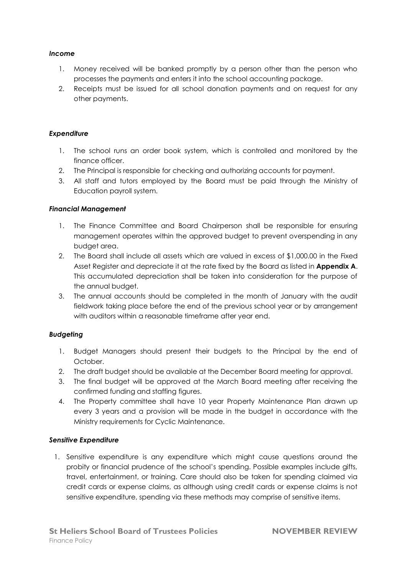#### *Income*

- 1. Money received will be banked promptly by a person other than the person who processes the payments and enters it into the school accounting package.
- 2. Receipts must be issued for all school donation payments and on request for any other payments.

#### *Expenditure*

- 1. The school runs an order book system, which is controlled and monitored by the finance officer.
- 2. The Principal is responsible for checking and authorizing accounts for payment.
- 3. All staff and tutors employed by the Board must be paid through the Ministry of Education payroll system.

#### *Financial Management*

- 1. The Finance Committee and Board Chairperson shall be responsible for ensuring management operates within the approved budget to prevent overspending in any budget area.
- 2. The Board shall include all assets which are valued in excess of \$1,000.00 in the Fixed Asset Register and depreciate it at the rate fixed by the Board as listed in **Appendix A**. This accumulated depreciation shall be taken into consideration for the purpose of the annual budget.
- 3. The annual accounts should be completed in the month of January with the audit fieldwork taking place before the end of the previous school year or by arrangement with auditors within a reasonable timeframe after year end.

#### *Budgeting*

- 1. Budget Managers should present their budgets to the Principal by the end of October.
- 2. The draft budget should be available at the December Board meeting for approval.
- 3. The final budget will be approved at the March Board meeting after receiving the confirmed funding and staffing figures.
- 4. The Property committee shall have 10 year Property Maintenance Plan drawn up every 3 years and a provision will be made in the budget in accordance with the Ministry requirements for Cyclic Maintenance.

#### *Sensitive Expenditure*

1. Sensitive expenditure is any expenditure which might cause questions around the probity or financial prudence of the school's spending. Possible examples include gifts, travel, entertainment, or training. Care should also be taken for spending claimed via credit cards or expense claims, as although using credit cards or expense claims is not sensitive expenditure, spending via these methods may comprise of sensitive items.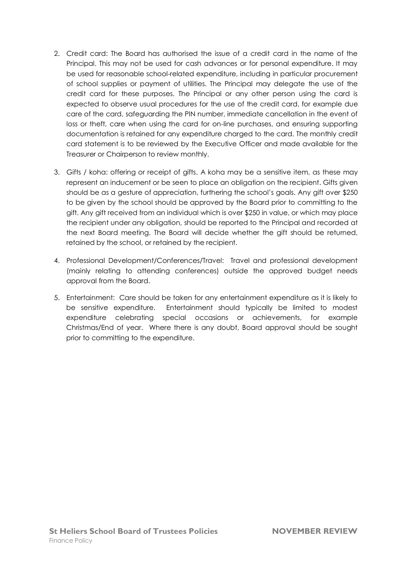- 2. Credit card: The Board has authorised the issue of a credit card in the name of the Principal. This may not be used for cash advances or for personal expenditure. It may be used for reasonable school-related expenditure, including in particular procurement of school supplies or payment of utilities. The Principal may delegate the use of the credit card for these purposes. The Principal or any other person using the card is expected to observe usual procedures for the use of the credit card, for example due care of the card, safeguarding the PIN number, immediate cancellation in the event of loss or theft, care when using the card for on-line purchases, and ensuring supporting documentation is retained for any expenditure charged to the card. The monthly credit card statement is to be reviewed by the Executive Officer and made available for the Treasurer or Chairperson to review monthly.
- 3. Gifts / koha: offering or receipt of gifts. A koha may be a sensitive item, as these may represent an inducement or be seen to place an obligation on the recipient. Gifts given should be as a gesture of appreciation, furthering the school's goals. Any gift over \$250 to be given by the school should be approved by the Board prior to committing to the gift. Any gift received from an individual which is over \$250 in value, or which may place the recipient under any obligation, should be reported to the Principal and recorded at the next Board meeting. The Board will decide whether the gift should be returned, retained by the school, or retained by the recipient.
- 4. Professional Development/Conferences/Travel: Travel and professional development (mainly relating to attending conferences) outside the approved budget needs approval from the Board.
- 5. Entertainment: Care should be taken for any entertainment expenditure as it is likely to be sensitive expenditure. Entertainment should typically be limited to modest expenditure celebrating special occasions or achievements, for example Christmas/End of year. Where there is any doubt, Board approval should be sought prior to committing to the expenditure.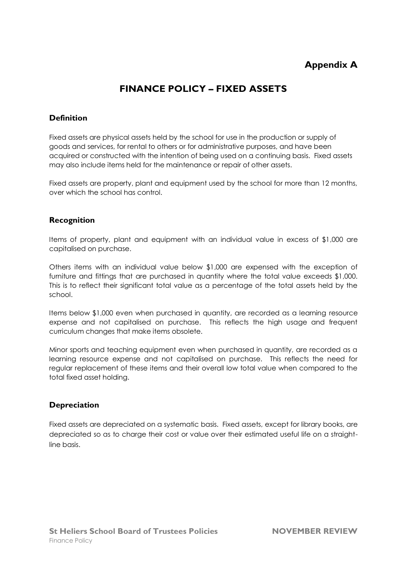# **Appendix A**

# **FINANCE POLICY – FIXED ASSETS**

### **Definition**

Fixed assets are physical assets held by the school for use in the production or supply of goods and services, for rental to others or for administrative purposes, and have been acquired or constructed with the intention of being used on a continuing basis. Fixed assets may also include items held for the maintenance or repair of other assets.

Fixed assets are property, plant and equipment used by the school for more than 12 months, over which the school has control.

#### **Recognition**

Items of property, plant and equipment with an individual value in excess of \$1,000 are capitalised on purchase.

Others items with an individual value below \$1,000 are expensed with the exception of furniture and fittings that are purchased in quantity where the total value exceeds \$1,000. This is to reflect their significant total value as a percentage of the total assets held by the school.

Items below \$1,000 even when purchased in quantity, are recorded as a learning resource expense and not capitalised on purchase. This reflects the high usage and frequent curriculum changes that make items obsolete.

Minor sports and teaching equipment even when purchased in quantity, are recorded as a learning resource expense and not capitalised on purchase. This reflects the need for regular replacement of these items and their overall low total value when compared to the total fixed asset holding.

### **Depreciation**

Fixed assets are depreciated on a systematic basis. Fixed assets, except for library books, are depreciated so as to charge their cost or value over their estimated useful life on a straightline basis.